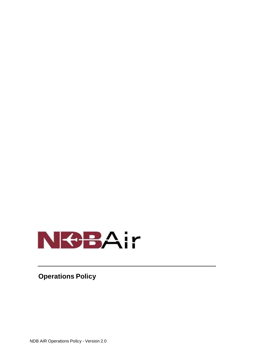

**Operations Policy**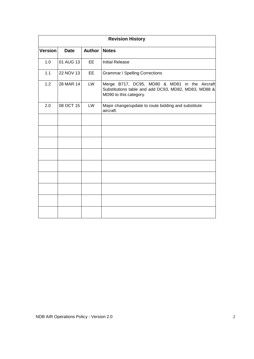| <b>Revision History</b> |             |               |                                                                                                                                 |  |
|-------------------------|-------------|---------------|---------------------------------------------------------------------------------------------------------------------------------|--|
| <b>Version</b>          | <b>Date</b> | <b>Author</b> | <b>Notes</b>                                                                                                                    |  |
| 1.0                     | 01 AUG 13   | EE            | <b>Initial Release</b>                                                                                                          |  |
| 1.1                     | 22 NOV 13   | EE            | <b>Grammar / Spelling Corrections</b>                                                                                           |  |
| 1.2                     | 28 MAR 14   | LW            | Merge B717, DC95, MD80 & MD81 in the Aircraft<br>Substitutions table and add DC93, MD82, MD83, MD88 &<br>MD90 to this category. |  |
| 2.0                     | 08 OCT 15   | LW            | Major change/update to route bidding and substitute<br>aircraft.                                                                |  |
|                         |             |               |                                                                                                                                 |  |
|                         |             |               |                                                                                                                                 |  |
|                         |             |               |                                                                                                                                 |  |
|                         |             |               |                                                                                                                                 |  |
|                         |             |               |                                                                                                                                 |  |
|                         |             |               |                                                                                                                                 |  |
|                         |             |               |                                                                                                                                 |  |
|                         |             |               |                                                                                                                                 |  |
|                         |             |               |                                                                                                                                 |  |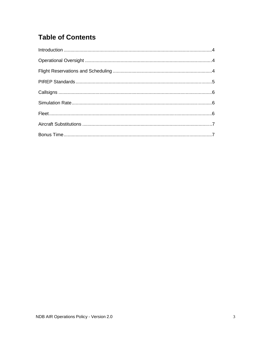# **Table of Contents**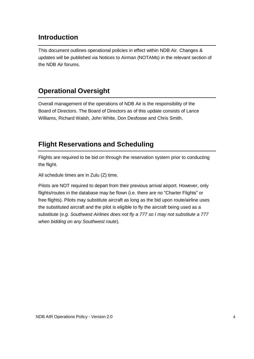### **Introduction**

This document outlines operational policies in effect within NDB Air. Changes & updates will be published via Notices to Airman (NOTAMs) in the relevant section of the NDB Air forums.

### **Operational Oversight**

Overall management of the operations of NDB Air is the responsibility of the Board of Directors. The Board of Directors as of this update consists of Lance Williams, Richard Walsh, John White, Don Desfosse and Chris Smith.

### **Flight Reservations and Scheduling**

Flights are required to be bid on through the reservation system prior to conducting the flight.

All schedule times are in Zulu (Z) time.

Pilots are NOT required to depart from their previous arrival airport. However, only flights/routes in the database may be flown (i.e. there are no "Charter Flights" or free flights). Pilots may substitute aircraft as long as the bid upon route/airline uses the substituted aircraft and the pilot is eligible to fly the aircraft being used as a substitute (*e.g. Southwest Airlines does not fly a 777 so I may not substitute a 777 when bidding on any Southwest route*).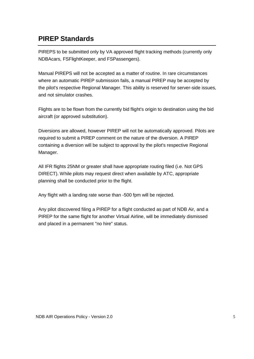#### **PIREP Standards**

PIREPS to be submitted only by VA approved flight tracking methods (currently only NDBAcars, FSFlightKeeper, and FSPassengers).

Manual PIREPS will not be accepted as a matter of routine. In rare circumstances where an automatic PIREP submission fails, a manual PIREP may be accepted by the pilot's respective Regional Manager. This ability is reserved for server-side issues, and not simulator crashes.

Flights are to be flown from the currently bid flight's origin to destination using the bid aircraft (or approved substitution).

Diversions are allowed, however PIREP will not be automatically approved. Pilots are required to submit a PIREP comment on the nature of the diversion. A PIREP containing a diversion will be subject to approval by the pilot's respective Regional Manager.

All IFR flights 25NM or greater shall have appropriate routing filed (i.e. Not GPS DIRECT). While pilots may request direct when available by ATC, appropriate planning shall be conducted prior to the flight.

Any flight with a landing rate worse than -500 fpm will be rejected.

Any pilot discovered filing a PIREP for a flight conducted as part of NDB Air, and a PIREP for the same flight for another Virtual Airline, will be immediately dismissed and placed in a permanent "no hire" status.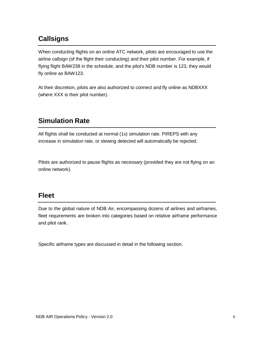## **Callsigns**

When conducting flights on an online ATC network, pilots are encouraged to use the airline callsign (of the flight their conducting) and their pilot number. For example, if flying flight BAW238 in the schedule, and the pilot's NDB number is 123, they would fly online as BAW123.

At their discretion, pilots are also authorized to connect and fly online as NDBXXX (where XXX is their pilot number).

### **Simulation Rate**

All flights shall be conducted at normal (1x) simulation rate. PIREPS with any increase in simulation rate, or slewing detected will automatically be rejected.

Pilots are authorized to pause flights as necessary (provided they are not flying on an online network).

#### **Fleet**

Due to the global nature of NDB Air, encompassing dozens of airlines and airframes, fleet requirements are broken into categories based on relative airframe performance and pilot rank.

Specific airframe types are discussed in detail in the following section.